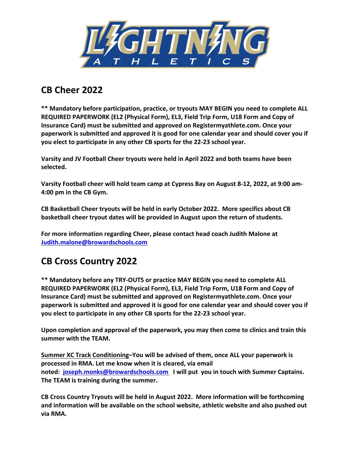

### **CB Cheer 2022**

**\*\* Mandatory before participation, practice, or tryouts MAY BEGIN you need to complete ALL REQUIRED PAPERWORK (EL2 (Physical Form), EL3, Field Trip Form, U18 Form and Copy of Insurance Card) must be submitted and approved on Registermyathlete.com. Once your paperwork is submitted and approved it is good for one calendar year and should cover you if you elect to participate in any other CB sports for the 22-23 school year.** 

**Varsity and JV Football Cheer tryouts were held in April 2022 and both teams have been selected.** 

**Varsity Football cheer will hold team camp at Cypress Bay on August 8-12, 2022, at 9:00 am-4:00 pm in the CB Gym.** 

**CB Basketball Cheer tryouts will be held in early October 2022. More specifics about CB basketball cheer tryout dates will be provided in August upon the return of students.** 

**For more information regarding Cheer, please contact head coach Judith Malone at Judith.malone@browardschools.com**

# **CB Cross Country 2022**

**\*\* Mandatory before any TRY-OUTS or practice MAY BEGIN you need to complete ALL REQUIRED PAPERWORK (EL2 (Physical Form), EL3, Field Trip Form, U18 Form and Copy of Insurance Card) must be submitted and approved on Registermyathlete.com. Once your paperwork is submitted and approved it is good for one calendar year and should cover you if you elect to participate in any other CB sports for the 22-23 school year.** 

**Upon completion and approval of the paperwork, you may then come to clinics and train this summer with the TEAM.**

**Summer XC Track Conditioning–You will be advised of them, once ALL your paperwork is processed in RMA. Let me know when it is cleared, via email noted: joseph.monks@browardschools.com I will put you in touch with Summer Captains. The TEAM is training during the summer.** 

**CB Cross Country Tryouts will be held in August 2022. More information will be forthcoming and information will be available on the school website, athletic website and also pushed out via RMA.**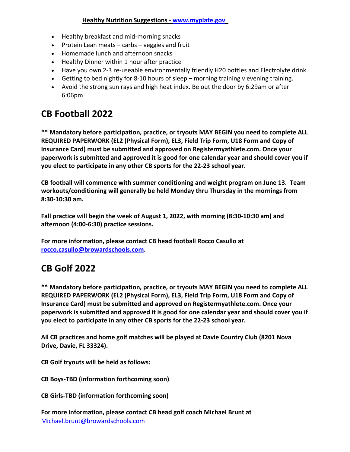#### **Healthy Nutrition Suggestions - www.myplate.gov**

- Healthy breakfast and mid-morning snacks
- Protein Lean meats carbs veggies and fruit
- Homemade lunch and afternoon snacks
- Healthy Dinner within 1 hour after practice
- Have you own 2-3 re-useable environmentally friendly H20 bottles and Electrolyte drink
- Getting to bed nightly for 8-10 hours of sleep morning training v evening training.
- Avoid the strong sun rays and high heat index. Be out the door by 6:29am or after 6:06pm

## **CB Football 2022**

**\*\* Mandatory before participation, practice, or tryouts MAY BEGIN you need to complete ALL REQUIRED PAPERWORK (EL2 (Physical Form), EL3, Field Trip Form, U18 Form and Copy of Insurance Card) must be submitted and approved on Registermyathlete.com. Once your paperwork is submitted and approved it is good for one calendar year and should cover you if you elect to participate in any other CB sports for the 22-23 school year.** 

**CB football will commence with summer conditioning and weight program on June 13. Team workouts/conditioning will generally be held Monday thru Thursday in the mornings from 8:30-10:30 am.** 

**Fall practice will begin the week of August 1, 2022, with morning (8:30-10:30 am) and afternoon (4:00-6:30) practice sessions.** 

**For more information, please contact CB head football Rocco Casullo at rocco.casullo@browardschools.com.**

### **CB Golf 2022**

**\*\* Mandatory before participation, practice, or tryouts MAY BEGIN you need to complete ALL REQUIRED PAPERWORK (EL2 (Physical Form), EL3, Field Trip Form, U18 Form and Copy of Insurance Card) must be submitted and approved on Registermyathlete.com. Once your paperwork is submitted and approved it is good for one calendar year and should cover you if you elect to participate in any other CB sports for the 22-23 school year.** 

**All CB practices and home golf matches will be played at Davie Country Club (8201 Nova Drive, Davie, FL 33324).**

**CB Golf tryouts will be held as follows:**

**CB Boys-TBD (information forthcoming soon)**

**CB Girls-TBD (information forthcoming soon)**

**For more information, please contact CB head golf coach Michael Brunt at** Michael.brunt@browardschools.com